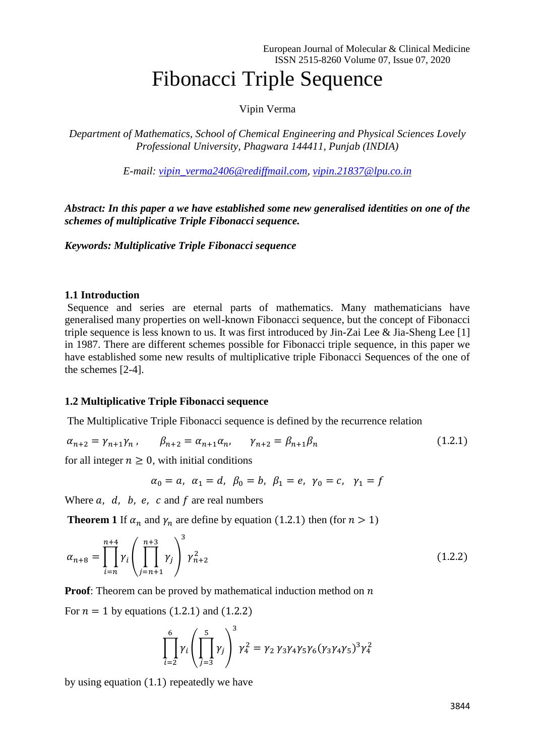## Fibonacci Triple Sequence

Vipin Verma

*Department of Mathematics, School of Chemical Engineering and Physical Sciences Lovely Professional University, Phagwara 144411, Punjab (INDIA)*

*E-mail: [vipin\\_verma2406@rediffmail.com,](mailto:vipin_verma2406@rediffmail.com) [vipin.21837@lpu.co.in](mailto:vipin.21837@lpu.co.in)*

*Abstract: In this paper a we have established some new generalised identities on one of the schemes of multiplicative Triple Fibonacci sequence.*

*Keywords: Multiplicative Triple Fibonacci sequence*

## **1.1 Introduction**

Sequence and series are eternal parts of mathematics. Many mathematicians have generalised many properties on well-known Fibonacci sequence, but the concept of Fibonacci triple sequence is less known to us. It was first introduced by Jin-Zai Lee & Jia-Sheng Lee [1] in 1987. There are different schemes possible for Fibonacci triple sequence, in this paper we have established some new results of multiplicative triple Fibonacci Sequences of the one of the schemes [2-4].

## **1.2 Multiplicative Triple Fibonacci sequence**

The Multiplicative Triple Fibonacci sequence is defined by the recurrence relation

 $\alpha_{n+2} = \gamma_{n+1} \gamma_n$ ,  $\beta_{n+2} = \alpha_{n+1} \alpha_n$ ,  $\gamma_{n+2} = \beta_{n+1} \beta_n$  (1.2.1)

for all integer  $n > 0$ , with initial conditions

$$
\alpha_0 = a, \ \alpha_1 = d, \ \beta_0 = b, \ \beta_1 = e, \ \gamma_0 = c, \ \gamma_1 = f
$$

Where  $a$ ,  $d$ ,  $b$ ,  $e$ ,  $c$  and  $f$  are real numbers

**Theorem 1** If  $\alpha_n$  and  $\gamma_n$  are define by equation (1.2.1) then (for  $n > 1$ )

$$
\alpha_{n+8} = \prod_{i=n}^{n+4} \gamma_i \left( \prod_{j=n+1}^{n+3} \gamma_j \right)^3 \gamma_{n+2}^2 \tag{1.2.2}
$$

**Proof:** Theorem can be proved by mathematical induction method on  $n$ 

For  $n = 1$  by equations (1.2.1) and (1.2.2)

$$
\prod_{i=2}^{6} \gamma_i \left( \prod_{j=3}^{5} \gamma_j \right)^3 \gamma_4^2 = \gamma_2 \gamma_3 \gamma_4 \gamma_5 \gamma_6 (\gamma_3 \gamma_4 \gamma_5)^3 \gamma_4^2
$$

by using equation (1.1) repeatedly we have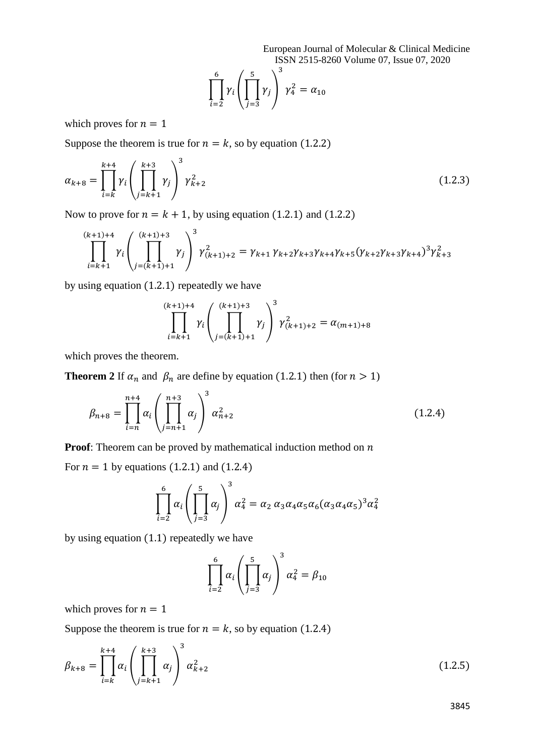European Journal of Molecular & Clinical Medicine ISSN 2515-8260 Volume 07, Issue 07, 2020

$$
\prod_{i=2}^{6} \gamma_i \left( \prod_{j=3}^{5} \gamma_j \right)^3 \gamma_4^2 = \alpha_{10}
$$

which proves for  $n = 1$ 

Suppose the theorem is true for  $n = k$ , so by equation (1.2.2)

$$
\alpha_{k+8} = \prod_{i=k}^{k+4} \gamma_i \left( \prod_{j=k+1}^{k+3} \gamma_j \right)^3 \gamma_{k+2}^2 \tag{1.2.3}
$$

Now to prove for  $n = k + 1$ , by using equation (1.2.1) and (1.2.2)

$$
\prod_{i=k+1}^{(k+1)+4} \gamma_i \left( \prod_{j=(k+1)+1}^{(k+1)+3} \gamma_j \right)^3 \gamma_{(k+1)+2}^2 = \gamma_{k+1} \gamma_{k+2} \gamma_{k+3} \gamma_{k+4} \gamma_{k+5} (\gamma_{k+2} \gamma_{k+3} \gamma_{k+4})^3 \gamma_{k+3}^2
$$

by using equation (1.2.1) repeatedly we have

$$
\prod_{i=k+1}^{(k+1)+4} \gamma_i \left( \prod_{j=(k+1)+1}^{(k+1)+3} \gamma_j \right)^3 \gamma_{(k+1)+2}^2 = \alpha_{(m+1)+8}
$$

which proves the theorem.

**Theorem 2** If  $\alpha_n$  and  $\beta_n$  are define by equation (1.2.1) then (for  $n > 1$ )

$$
\beta_{n+8} = \prod_{i=n}^{n+4} \alpha_i \left( \prod_{j=n+1}^{n+3} \alpha_j \right)^3 \alpha_{n+2}^2 \tag{1.2.4}
$$

**Proof:** Theorem can be proved by mathematical induction method on  $n$ 

For  $n = 1$  by equations (1.2.1) and (1.2.4)

$$
\prod_{i=2}^{6} \alpha_i \left( \prod_{j=3}^{5} \alpha_j \right)^3 \alpha_4^2 = \alpha_2 \alpha_3 \alpha_4 \alpha_5 \alpha_6 (\alpha_3 \alpha_4 \alpha_5)^3 \alpha_4^2
$$

by using equation (1.1) repeatedly we have

$$
\prod_{i=2}^{6} \alpha_i \left( \prod_{j=3}^{5} \alpha_j \right)^3 \alpha_4^2 = \beta_{10}
$$

which proves for  $n = 1$ 

Suppose the theorem is true for  $n = k$ , so by equation (1.2.4)

$$
\beta_{k+8} = \prod_{i=k}^{k+4} \alpha_i \left( \prod_{j=k+1}^{k+3} \alpha_j \right)^3 \alpha_{k+2}^2 \tag{1.2.5}
$$

3845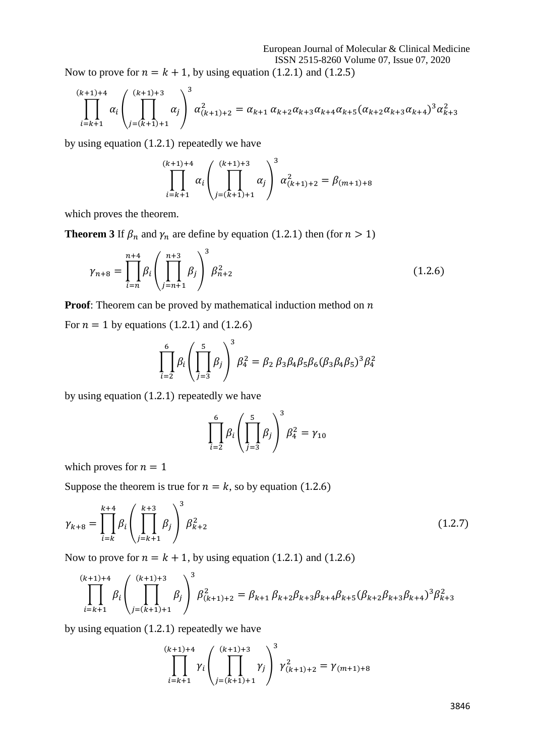Now to prove for  $n = k + 1$ , by using equation (1.2.1) and (1.2.5)

$$
\prod_{i=k+1}^{(k+1)+4} \alpha_i \left( \prod_{j=(k+1)+1}^{(k+1)+3} \alpha_j \right)^3 \alpha_{(k+1)+2}^2 = \alpha_{k+1} \alpha_{k+2} \alpha_{k+3} \alpha_{k+4} \alpha_{k+5} (\alpha_{k+2} \alpha_{k+3} \alpha_{k+4})^3 \alpha_{k+3}^2
$$

by using equation (1.2.1) repeatedly we have

$$
\prod_{i=k+1}^{(k+1)+4} \alpha_i \left( \prod_{j=(k+1)+1}^{(k+1)+3} \alpha_j \right)^3 \alpha_{(k+1)+2}^2 = \beta_{(m+1)+8}
$$

which proves the theorem.

**Theorem 3** If  $\beta_n$  and  $\gamma_n$  are define by equation (1.2.1) then (for  $n > 1$ )

$$
\gamma_{n+8} = \prod_{i=n}^{n+4} \beta_i \left( \prod_{j=n+1}^{n+3} \beta_j \right)^3 \beta_{n+2}^2 \tag{1.2.6}
$$

**Proof:** Theorem can be proved by mathematical induction method on  $n$ 

For  $n = 1$  by equations (1.2.1) and (1.2.6)

$$
\prod_{i=2}^{6} \beta_i \left( \prod_{j=3}^{5} \beta_j \right)^3 \beta_4^2 = \beta_2 \beta_3 \beta_4 \beta_5 \beta_6 (\beta_3 \beta_4 \beta_5)^3 \beta_4^2
$$

by using equation (1.2.1) repeatedly we have

$$
\prod_{i=2}^{6} \beta_i \left( \prod_{j=3}^{5} \beta_j \right)^3 \beta_4^2 = \gamma_{10}
$$

which proves for  $n = 1$ 

Suppose the theorem is true for  $n = k$ , so by equation (1.2.6)

$$
\gamma_{k+8} = \prod_{i=k}^{k+4} \beta_i \left( \prod_{j=k+1}^{k+3} \beta_j \right)^3 \beta_{k+2}^2 \tag{1.2.7}
$$

Now to prove for  $n = k + 1$ , by using equation (1.2.1) and (1.2.6)

$$
\prod_{i=k+1}^{(k+1)+4} \beta_i \left( \prod_{j=(k+1)+1}^{(k+1)+3} \beta_j \right)^3 \beta_{(k+1)+2}^2 = \beta_{k+1} \beta_{k+2} \beta_{k+3} \beta_{k+4} \beta_{k+5} (\beta_{k+2} \beta_{k+3} \beta_{k+4})^3 \beta_{k+3}^2
$$

by using equation (1.2.1) repeatedly we have

$$
\prod_{i=k+1}^{(k+1)+4} \gamma_i \left( \prod_{j=(k+1)+1}^{(k+1)+3} \gamma_j \right)^3 \gamma_{(k+1)+2}^2 = \gamma_{(m+1)+8}
$$